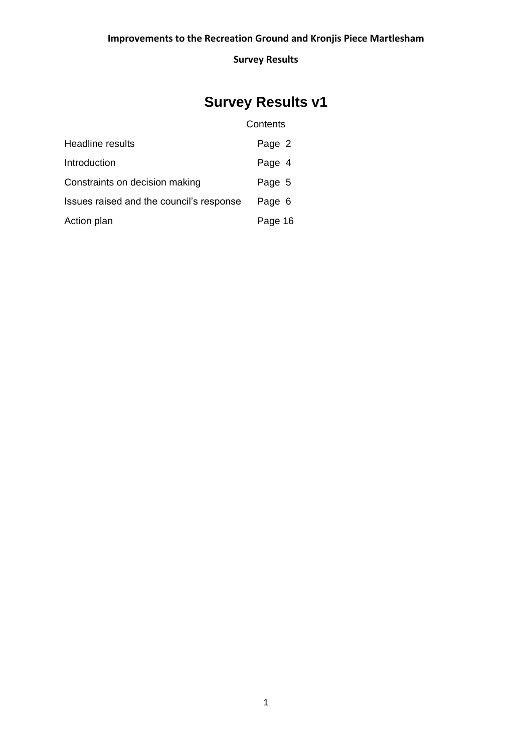# **Survey Results v1**

# **Contents**

| Headline results                         | Page 2  |
|------------------------------------------|---------|
| Introduction                             | Page 4  |
| Constraints on decision making           | Page 5  |
| Issues raised and the council's response | Page 6  |
| Action plan                              | Page 16 |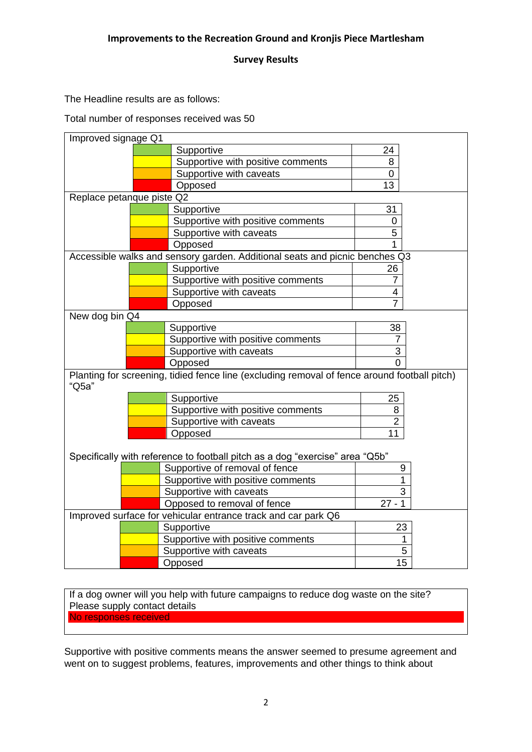The Headline results are as follows:

Total number of responses received was 50

| Improved signage Q1                                                                                   |                                                                                                                |                |
|-------------------------------------------------------------------------------------------------------|----------------------------------------------------------------------------------------------------------------|----------------|
|                                                                                                       | Supportive                                                                                                     | 24             |
|                                                                                                       | Supportive with positive comments                                                                              | 8              |
|                                                                                                       | Supportive with caveats                                                                                        | 0              |
|                                                                                                       | Opposed                                                                                                        | 13             |
| Replace petanque piste Q2                                                                             |                                                                                                                |                |
|                                                                                                       | Supportive                                                                                                     | 31             |
|                                                                                                       | Supportive with positive comments                                                                              | $\overline{0}$ |
|                                                                                                       | Supportive with caveats                                                                                        | 5              |
|                                                                                                       | Opposed                                                                                                        |                |
|                                                                                                       | Accessible walks and sensory garden. Additional seats and picnic benches Q3                                    |                |
|                                                                                                       | Supportive                                                                                                     | 26             |
|                                                                                                       | Supportive with positive comments                                                                              | $\overline{7}$ |
|                                                                                                       | Supportive with caveats                                                                                        | 4              |
|                                                                                                       | Opposed                                                                                                        | 7              |
| New dog bin Q4                                                                                        |                                                                                                                |                |
|                                                                                                       | Supportive                                                                                                     | 38             |
|                                                                                                       | Supportive with positive comments                                                                              | 7              |
|                                                                                                       | Supportive with caveats                                                                                        | 3              |
|                                                                                                       | Opposed                                                                                                        | $\Omega$       |
| Planting for screening, tidied fence line (excluding removal of fence around football pitch)<br>"Q5a" |                                                                                                                |                |
|                                                                                                       | Supportive                                                                                                     | 25             |
|                                                                                                       | Supportive with positive comments                                                                              | 8              |
|                                                                                                       | Supportive with caveats                                                                                        | $\overline{2}$ |
|                                                                                                       | Opposed                                                                                                        | 11             |
|                                                                                                       | Specifically with reference to football pitch as a dog "exercise" area "Q5b"<br>Supportive of removal of fence | 9              |
|                                                                                                       | Supportive with positive comments                                                                              | 1              |
|                                                                                                       | Supportive with caveats                                                                                        | 3              |
|                                                                                                       | Opposed to removal of fence                                                                                    | $27 - 1$       |
| Improved surface for vehicular entrance track and car park Q6                                         |                                                                                                                |                |
|                                                                                                       | Supportive                                                                                                     | 23             |
|                                                                                                       | Supportive with positive comments                                                                              | 1              |
|                                                                                                       | Supportive with caveats                                                                                        | 5              |
|                                                                                                       | Opposed                                                                                                        | 15             |
|                                                                                                       |                                                                                                                |                |

If a dog owner will you help with future campaigns to reduce dog waste on the site? Please supply contact details No responses received

Supportive with positive comments means the answer seemed to presume agreement and went on to suggest problems, features, improvements and other things to think about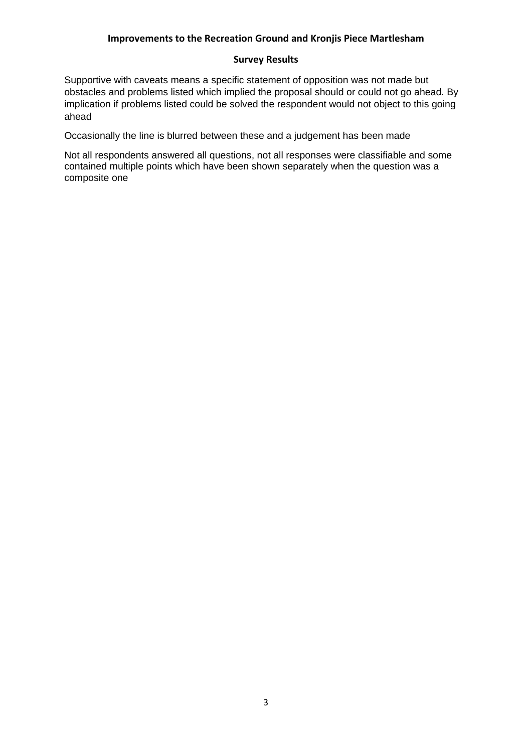#### **Survey Results**

Supportive with caveats means a specific statement of opposition was not made but obstacles and problems listed which implied the proposal should or could not go ahead. By implication if problems listed could be solved the respondent would not object to this going ahead

Occasionally the line is blurred between these and a judgement has been made

Not all respondents answered all questions, not all responses were classifiable and some contained multiple points which have been shown separately when the question was a composite one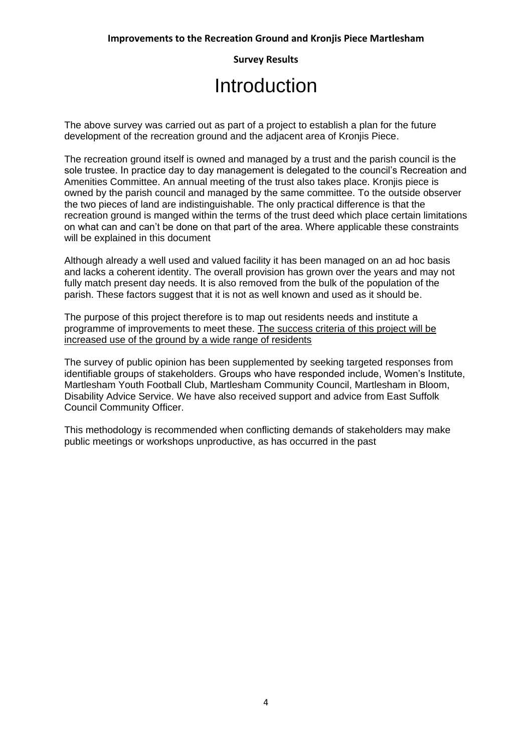# Introduction

The above survey was carried out as part of a project to establish a plan for the future development of the recreation ground and the adjacent area of Kronjis Piece.

The recreation ground itself is owned and managed by a trust and the parish council is the sole trustee. In practice day to day management is delegated to the council's Recreation and Amenities Committee. An annual meeting of the trust also takes place. Kronjis piece is owned by the parish council and managed by the same committee. To the outside observer the two pieces of land are indistinguishable. The only practical difference is that the recreation ground is manged within the terms of the trust deed which place certain limitations on what can and can't be done on that part of the area. Where applicable these constraints will be explained in this document

Although already a well used and valued facility it has been managed on an ad hoc basis and lacks a coherent identity. The overall provision has grown over the years and may not fully match present day needs. It is also removed from the bulk of the population of the parish. These factors suggest that it is not as well known and used as it should be.

The purpose of this project therefore is to map out residents needs and institute a programme of improvements to meet these. The success criteria of this project will be increased use of the ground by a wide range of residents

The survey of public opinion has been supplemented by seeking targeted responses from identifiable groups of stakeholders. Groups who have responded include, Women's Institute, Martlesham Youth Football Club, Martlesham Community Council, Martlesham in Bloom, Disability Advice Service. We have also received support and advice from East Suffolk Council Community Officer.

This methodology is recommended when conflicting demands of stakeholders may make public meetings or workshops unproductive, as has occurred in the past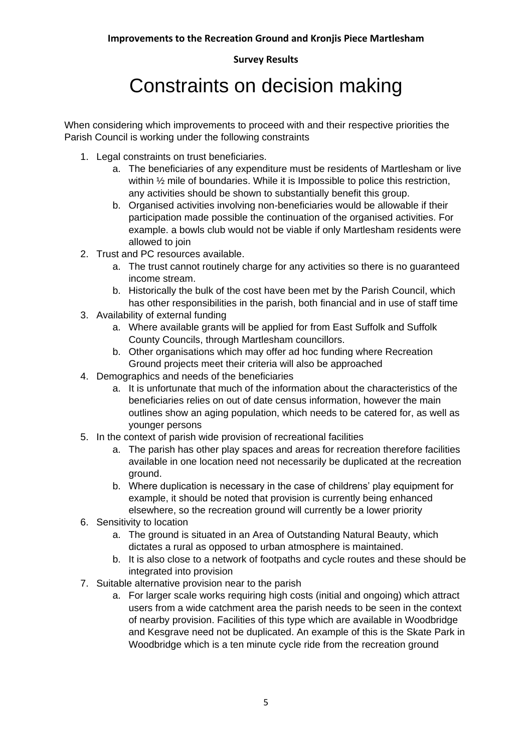# Constraints on decision making

When considering which improvements to proceed with and their respective priorities the Parish Council is working under the following constraints

- 1. Legal constraints on trust beneficiaries.
	- a. The beneficiaries of any expenditure must be residents of Martlesham or live within  $\frac{1}{2}$  mile of boundaries. While it is Impossible to police this restriction, any activities should be shown to substantially benefit this group.
	- b. Organised activities involving non-beneficiaries would be allowable if their participation made possible the continuation of the organised activities. For example. a bowls club would not be viable if only Martlesham residents were allowed to join
- 2. Trust and PC resources available.
	- a. The trust cannot routinely charge for any activities so there is no guaranteed income stream.
	- b. Historically the bulk of the cost have been met by the Parish Council, which has other responsibilities in the parish, both financial and in use of staff time
- 3. Availability of external funding
	- a. Where available grants will be applied for from East Suffolk and Suffolk County Councils, through Martlesham councillors.
	- b. Other organisations which may offer ad hoc funding where Recreation Ground projects meet their criteria will also be approached
- 4. Demographics and needs of the beneficiaries
	- a. It is unfortunate that much of the information about the characteristics of the beneficiaries relies on out of date census information, however the main outlines show an aging population, which needs to be catered for, as well as younger persons
- 5. In the context of parish wide provision of recreational facilities
	- a. The parish has other play spaces and areas for recreation therefore facilities available in one location need not necessarily be duplicated at the recreation ground.
	- b. Where duplication is necessary in the case of childrens' play equipment for example, it should be noted that provision is currently being enhanced elsewhere, so the recreation ground will currently be a lower priority
- 6. Sensitivity to location
	- a. The ground is situated in an Area of Outstanding Natural Beauty, which dictates a rural as opposed to urban atmosphere is maintained.
	- b. It is also close to a network of footpaths and cycle routes and these should be integrated into provision
- 7. Suitable alternative provision near to the parish
	- a. For larger scale works requiring high costs (initial and ongoing) which attract users from a wide catchment area the parish needs to be seen in the context of nearby provision. Facilities of this type which are available in Woodbridge and Kesgrave need not be duplicated. An example of this is the Skate Park in Woodbridge which is a ten minute cycle ride from the recreation ground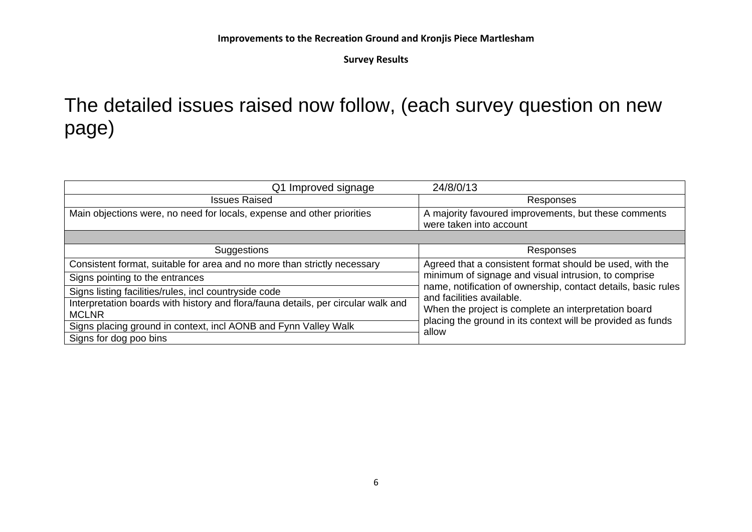# The detailed issues raised now follow, (each survey question on new page)

| Q1 Improved signage                                                               | 24/8/0/13                                                                                  |
|-----------------------------------------------------------------------------------|--------------------------------------------------------------------------------------------|
| <b>Issues Raised</b>                                                              | Responses                                                                                  |
| Main objections were, no need for locals, expense and other priorities            | A majority favoured improvements, but these comments                                       |
|                                                                                   | were taken into account                                                                    |
|                                                                                   |                                                                                            |
| Suggestions                                                                       | Responses                                                                                  |
| Consistent format, suitable for area and no more than strictly necessary          | Agreed that a consistent format should be used, with the                                   |
| Signs pointing to the entrances                                                   | minimum of signage and visual intrusion, to comprise                                       |
| Signs listing facilities/rules, incl countryside code                             | name, notification of ownership, contact details, basic rules<br>and facilities available. |
| Interpretation boards with history and flora/fauna details, per circular walk and | When the project is complete an interpretation board                                       |
| <b>MCLNR</b>                                                                      | placing the ground in its context will be provided as funds                                |
| Signs placing ground in context, incl AONB and Fynn Valley Walk                   | allow                                                                                      |
| Signs for dog poo bins                                                            |                                                                                            |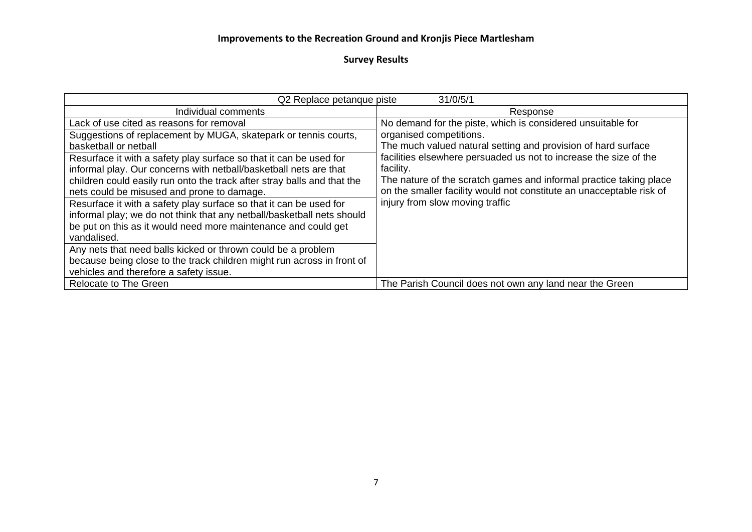| 31/0/5/1<br>Q2 Replace petanque piste                                                                                                                                                                                                                            |                                                                                                                                                                                                                              |
|------------------------------------------------------------------------------------------------------------------------------------------------------------------------------------------------------------------------------------------------------------------|------------------------------------------------------------------------------------------------------------------------------------------------------------------------------------------------------------------------------|
| Individual comments                                                                                                                                                                                                                                              | Response                                                                                                                                                                                                                     |
| Lack of use cited as reasons for removal                                                                                                                                                                                                                         | No demand for the piste, which is considered unsuitable for                                                                                                                                                                  |
| Suggestions of replacement by MUGA, skatepark or tennis courts,<br>basketball or netball                                                                                                                                                                         | organised competitions.<br>The much valued natural setting and provision of hard surface                                                                                                                                     |
| Resurface it with a safety play surface so that it can be used for<br>informal play. Our concerns with netball/basketball nets are that<br>children could easily run onto the track after stray balls and that the<br>nets could be misused and prone to damage. | facilities elsewhere persuaded us not to increase the size of the<br>facility.<br>The nature of the scratch games and informal practice taking place<br>on the smaller facility would not constitute an unacceptable risk of |
| Resurface it with a safety play surface so that it can be used for<br>informal play; we do not think that any netball/basketball nets should<br>be put on this as it would need more maintenance and could get<br>vandalised.                                    | injury from slow moving traffic                                                                                                                                                                                              |
| Any nets that need balls kicked or thrown could be a problem<br>because being close to the track children might run across in front of<br>vehicles and therefore a safety issue.                                                                                 |                                                                                                                                                                                                                              |
| Relocate to The Green                                                                                                                                                                                                                                            | The Parish Council does not own any land near the Green                                                                                                                                                                      |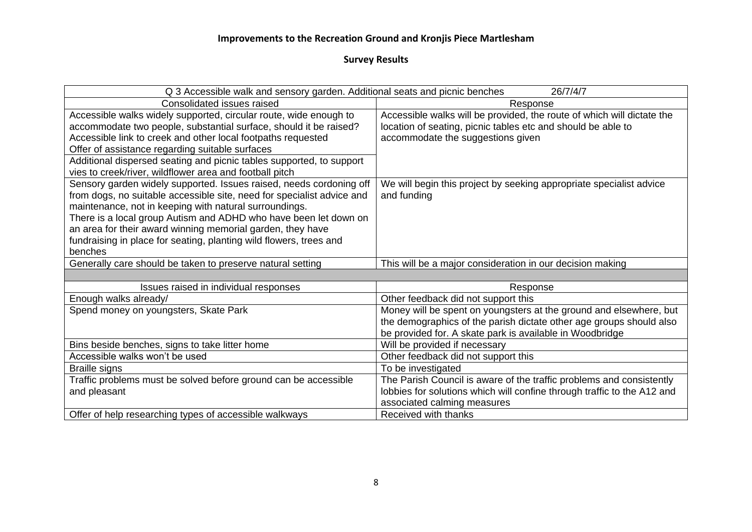| 26/7/4/7<br>Q 3 Accessible walk and sensory garden. Additional seats and picnic benches                                                                                                                                                                                                                                                                                                                                    |                                                                                                                                                                                                       |  |
|----------------------------------------------------------------------------------------------------------------------------------------------------------------------------------------------------------------------------------------------------------------------------------------------------------------------------------------------------------------------------------------------------------------------------|-------------------------------------------------------------------------------------------------------------------------------------------------------------------------------------------------------|--|
| Consolidated issues raised                                                                                                                                                                                                                                                                                                                                                                                                 | Response                                                                                                                                                                                              |  |
| Accessible walks widely supported, circular route, wide enough to<br>accommodate two people, substantial surface, should it be raised?<br>Accessible link to creek and other local footpaths requested<br>Offer of assistance regarding suitable surfaces<br>Additional dispersed seating and picnic tables supported, to support                                                                                          | Accessible walks will be provided, the route of which will dictate the<br>location of seating, picnic tables etc and should be able to<br>accommodate the suggestions given                           |  |
| vies to creek/river, wildflower area and football pitch                                                                                                                                                                                                                                                                                                                                                                    |                                                                                                                                                                                                       |  |
| Sensory garden widely supported. Issues raised, needs cordoning off<br>from dogs, no suitable accessible site, need for specialist advice and<br>maintenance, not in keeping with natural surroundings.<br>There is a local group Autism and ADHD who have been let down on<br>an area for their award winning memorial garden, they have<br>fundraising in place for seating, planting wild flowers, trees and<br>benches | We will begin this project by seeking appropriate specialist advice<br>and funding                                                                                                                    |  |
| Generally care should be taken to preserve natural setting                                                                                                                                                                                                                                                                                                                                                                 | This will be a major consideration in our decision making                                                                                                                                             |  |
|                                                                                                                                                                                                                                                                                                                                                                                                                            |                                                                                                                                                                                                       |  |
| Issues raised in individual responses                                                                                                                                                                                                                                                                                                                                                                                      | Response                                                                                                                                                                                              |  |
| Enough walks already/                                                                                                                                                                                                                                                                                                                                                                                                      | Other feedback did not support this                                                                                                                                                                   |  |
| Spend money on youngsters, Skate Park                                                                                                                                                                                                                                                                                                                                                                                      | Money will be spent on youngsters at the ground and elsewhere, but<br>the demographics of the parish dictate other age groups should also<br>be provided for. A skate park is available in Woodbridge |  |
| Bins beside benches, signs to take litter home                                                                                                                                                                                                                                                                                                                                                                             | Will be provided if necessary                                                                                                                                                                         |  |
| Accessible walks won't be used                                                                                                                                                                                                                                                                                                                                                                                             | Other feedback did not support this                                                                                                                                                                   |  |
| <b>Braille signs</b>                                                                                                                                                                                                                                                                                                                                                                                                       | To be investigated                                                                                                                                                                                    |  |
| Traffic problems must be solved before ground can be accessible<br>and pleasant                                                                                                                                                                                                                                                                                                                                            | The Parish Council is aware of the traffic problems and consistently<br>lobbies for solutions which will confine through traffic to the A12 and<br>associated calming measures                        |  |
| Offer of help researching types of accessible walkways                                                                                                                                                                                                                                                                                                                                                                     | Received with thanks                                                                                                                                                                                  |  |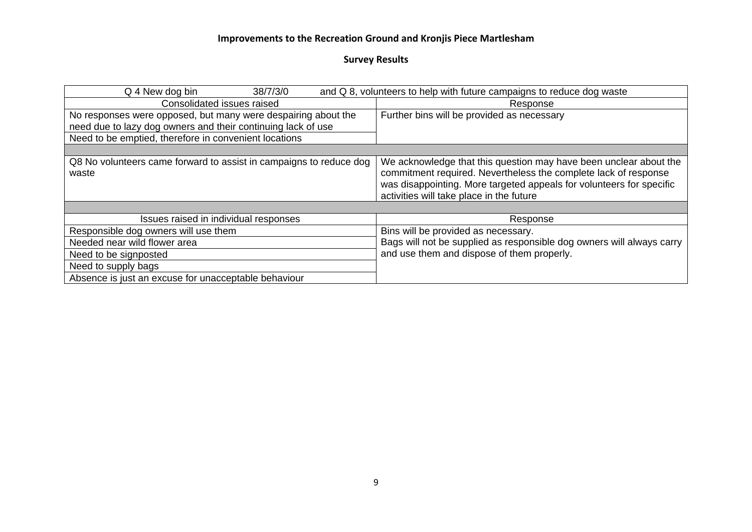| Q 4 New dog bin<br>38/7/3/0                                                                                                   | and Q 8, volunteers to help with future campaigns to reduce dog waste                                                                                                                                                                                    |
|-------------------------------------------------------------------------------------------------------------------------------|----------------------------------------------------------------------------------------------------------------------------------------------------------------------------------------------------------------------------------------------------------|
| Consolidated issues raised                                                                                                    | Response                                                                                                                                                                                                                                                 |
| No responses were opposed, but many were despairing about the<br>need due to lazy dog owners and their continuing lack of use | Further bins will be provided as necessary                                                                                                                                                                                                               |
| Need to be emptied, therefore in convenient locations                                                                         |                                                                                                                                                                                                                                                          |
|                                                                                                                               |                                                                                                                                                                                                                                                          |
| Q8 No volunteers came forward to assist in campaigns to reduce dog<br>waste                                                   | We acknowledge that this question may have been unclear about the<br>commitment required. Nevertheless the complete lack of response<br>was disappointing. More targeted appeals for volunteers for specific<br>activities will take place in the future |
|                                                                                                                               |                                                                                                                                                                                                                                                          |
| Issues raised in individual responses                                                                                         | Response                                                                                                                                                                                                                                                 |
| Responsible dog owners will use them                                                                                          | Bins will be provided as necessary.                                                                                                                                                                                                                      |
| Needed near wild flower area                                                                                                  | Bags will not be supplied as responsible dog owners will always carry                                                                                                                                                                                    |
| Need to be signposted                                                                                                         | and use them and dispose of them properly.                                                                                                                                                                                                               |
| Need to supply bags                                                                                                           |                                                                                                                                                                                                                                                          |
| Absence is just an excuse for unacceptable behaviour                                                                          |                                                                                                                                                                                                                                                          |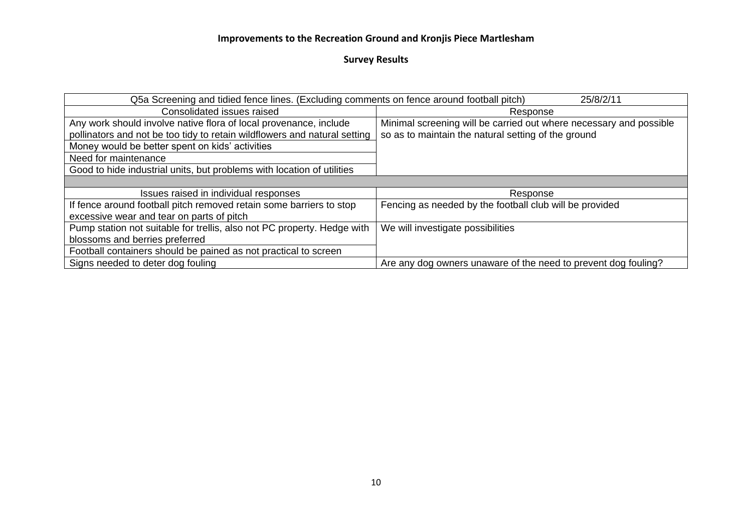| Q5a Screening and tidied fence lines. (Excluding comments on fence around football pitch)<br>25/8/2/11 |                                                                    |
|--------------------------------------------------------------------------------------------------------|--------------------------------------------------------------------|
| Consolidated issues raised                                                                             | Response                                                           |
| Any work should involve native flora of local provenance, include                                      | Minimal screening will be carried out where necessary and possible |
| pollinators and not be too tidy to retain wildflowers and natural setting                              | so as to maintain the natural setting of the ground                |
| Money would be better spent on kids' activities                                                        |                                                                    |
| Need for maintenance                                                                                   |                                                                    |
| Good to hide industrial units, but problems with location of utilities                                 |                                                                    |
|                                                                                                        |                                                                    |
| Issues raised in individual responses                                                                  | Response                                                           |
| If fence around football pitch removed retain some barriers to stop                                    | Fencing as needed by the football club will be provided            |
| excessive wear and tear on parts of pitch                                                              |                                                                    |
| Pump station not suitable for trellis, also not PC property. Hedge with                                | We will investigate possibilities                                  |
| blossoms and berries preferred                                                                         |                                                                    |
| Football containers should be pained as not practical to screen                                        |                                                                    |
| Signs needed to deter dog fouling                                                                      | Are any dog owners unaware of the need to prevent dog fouling?     |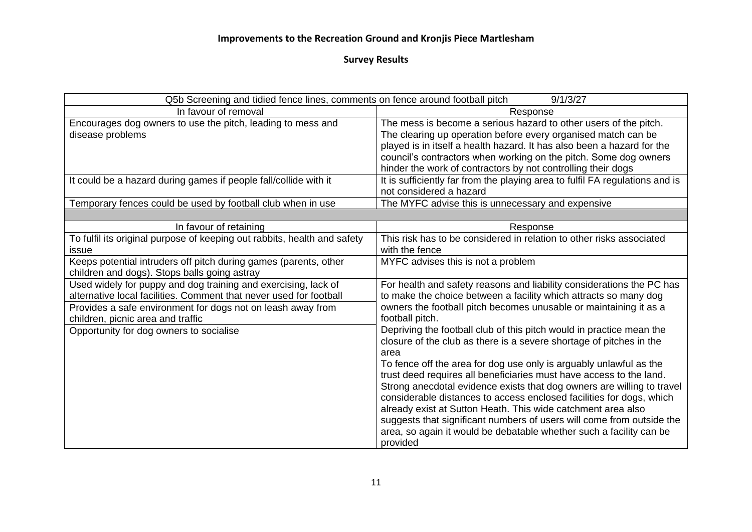| Q5b Screening and tidied fence lines, comments on fence around football pitch | 9/1/3/27                                                                     |
|-------------------------------------------------------------------------------|------------------------------------------------------------------------------|
| In favour of removal                                                          | Response                                                                     |
| Encourages dog owners to use the pitch, leading to mess and                   | The mess is become a serious hazard to other users of the pitch.             |
| disease problems                                                              | The clearing up operation before every organised match can be                |
|                                                                               | played is in itself a health hazard. It has also been a hazard for the       |
|                                                                               | council's contractors when working on the pitch. Some dog owners             |
|                                                                               | hinder the work of contractors by not controlling their dogs                 |
| It could be a hazard during games if people fall/collide with it              | It is sufficiently far from the playing area to fulfil FA regulations and is |
|                                                                               | not considered a hazard                                                      |
| Temporary fences could be used by football club when in use                   | The MYFC advise this is unnecessary and expensive                            |
|                                                                               |                                                                              |
| In favour of retaining                                                        | Response                                                                     |
| To fulfil its original purpose of keeping out rabbits, health and safety      | This risk has to be considered in relation to other risks associated         |
| issue                                                                         | with the fence                                                               |
| Keeps potential intruders off pitch during games (parents, other              | MYFC advises this is not a problem                                           |
| children and dogs). Stops balls going astray                                  |                                                                              |
| Used widely for puppy and dog training and exercising, lack of                | For health and safety reasons and liability considerations the PC has        |
| alternative local facilities. Comment that never used for football            | to make the choice between a facility which attracts so many dog             |
| Provides a safe environment for dogs not on leash away from                   | owners the football pitch becomes unusable or maintaining it as a            |
| children, picnic area and traffic                                             | football pitch.                                                              |
| Opportunity for dog owners to socialise                                       | Depriving the football club of this pitch would in practice mean the         |
|                                                                               | closure of the club as there is a severe shortage of pitches in the          |
|                                                                               | area                                                                         |
|                                                                               | To fence off the area for dog use only is arguably unlawful as the           |
|                                                                               | trust deed requires all beneficiaries must have access to the land.          |
|                                                                               | Strong anecdotal evidence exists that dog owners are willing to travel       |
|                                                                               | considerable distances to access enclosed facilities for dogs, which         |
|                                                                               | already exist at Sutton Heath. This wide catchment area also                 |
|                                                                               | suggests that significant numbers of users will come from outside the        |
|                                                                               | area, so again it would be debatable whether such a facility can be          |
|                                                                               | provided                                                                     |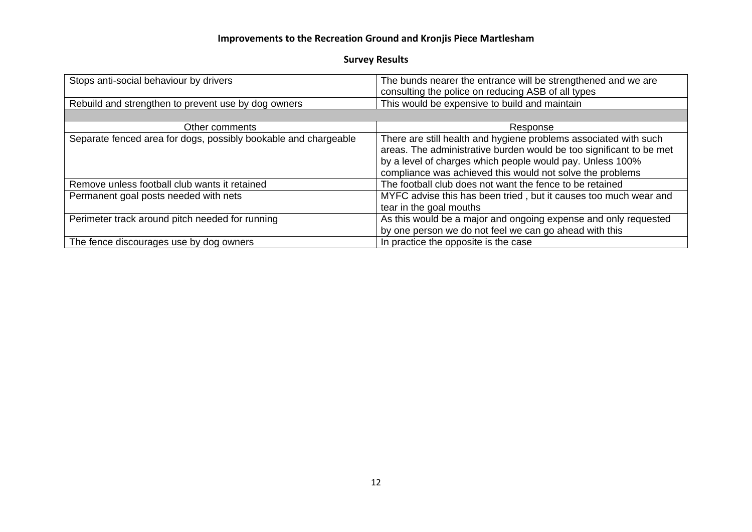| Stops anti-social behaviour by drivers                          | The bunds nearer the entrance will be strengthened and we are       |
|-----------------------------------------------------------------|---------------------------------------------------------------------|
|                                                                 |                                                                     |
|                                                                 | consulting the police on reducing ASB of all types                  |
| Rebuild and strengthen to prevent use by dog owners             | This would be expensive to build and maintain                       |
|                                                                 |                                                                     |
| Other comments                                                  | Response                                                            |
| Separate fenced area for dogs, possibly bookable and chargeable | There are still health and hygiene problems associated with such    |
|                                                                 | areas. The administrative burden would be too significant to be met |
|                                                                 |                                                                     |
|                                                                 | by a level of charges which people would pay. Unless 100%           |
|                                                                 | compliance was achieved this would not solve the problems           |
| Remove unless football club wants it retained                   | The football club does not want the fence to be retained            |
| Permanent goal posts needed with nets                           | MYFC advise this has been tried, but it causes too much wear and    |
|                                                                 | tear in the goal mouths                                             |
| Perimeter track around pitch needed for running                 | As this would be a major and ongoing expense and only requested     |
|                                                                 | by one person we do not feel we can go ahead with this              |
| The fence discourages use by dog owners                         | In practice the opposite is the case                                |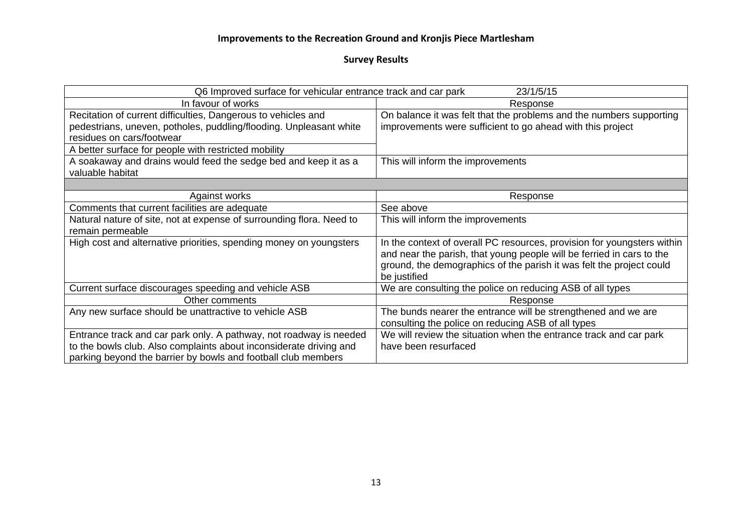| Q6 Improved surface for vehicular entrance track and car park<br>23/1/5/15 |                                                                         |
|----------------------------------------------------------------------------|-------------------------------------------------------------------------|
| In favour of works                                                         | Response                                                                |
| Recitation of current difficulties, Dangerous to vehicles and              | On balance it was felt that the problems and the numbers supporting     |
| pedestrians, uneven, potholes, puddling/flooding. Unpleasant white         | improvements were sufficient to go ahead with this project              |
| residues on cars/footwear                                                  |                                                                         |
| A better surface for people with restricted mobility                       |                                                                         |
| A soakaway and drains would feed the sedge bed and keep it as a            | This will inform the improvements                                       |
| valuable habitat                                                           |                                                                         |
|                                                                            |                                                                         |
| Against works                                                              | Response                                                                |
| Comments that current facilities are adequate                              | See above                                                               |
| Natural nature of site, not at expense of surrounding flora. Need to       | This will inform the improvements                                       |
| remain permeable                                                           |                                                                         |
| High cost and alternative priorities, spending money on youngsters         | In the context of overall PC resources, provision for youngsters within |
|                                                                            | and near the parish, that young people will be ferried in cars to the   |
|                                                                            | ground, the demographics of the parish it was felt the project could    |
|                                                                            | be justified                                                            |
| Current surface discourages speeding and vehicle ASB                       | We are consulting the police on reducing ASB of all types               |
| Other comments                                                             | Response                                                                |
| Any new surface should be unattractive to vehicle ASB                      | The bunds nearer the entrance will be strengthened and we are           |
|                                                                            | consulting the police on reducing ASB of all types                      |
| Entrance track and car park only. A pathway, not roadway is needed         | We will review the situation when the entrance track and car park       |
| to the bowls club. Also complaints about inconsiderate driving and         | have been resurfaced                                                    |
| parking beyond the barrier by bowls and football club members              |                                                                         |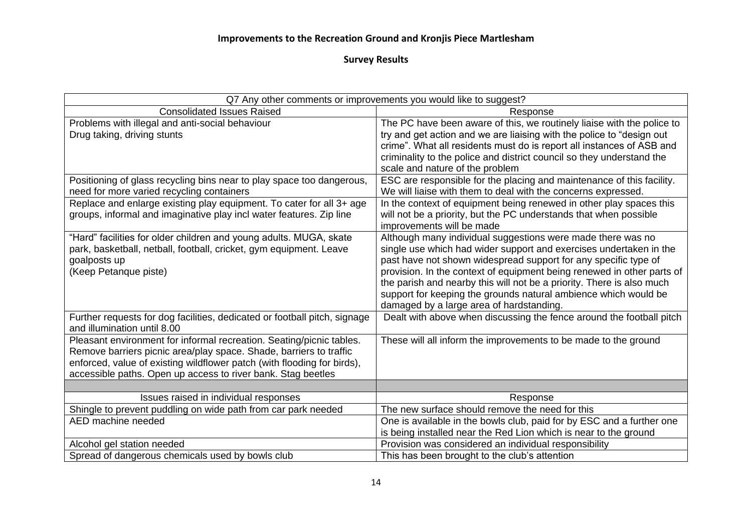| Q7 Any other comments or improvements you would like to suggest?                                                                                                                                                                                                                      |                                                                                                                                                                                                                                                                                                                                                                                                                                                                        |
|---------------------------------------------------------------------------------------------------------------------------------------------------------------------------------------------------------------------------------------------------------------------------------------|------------------------------------------------------------------------------------------------------------------------------------------------------------------------------------------------------------------------------------------------------------------------------------------------------------------------------------------------------------------------------------------------------------------------------------------------------------------------|
| <b>Consolidated Issues Raised</b>                                                                                                                                                                                                                                                     | Response                                                                                                                                                                                                                                                                                                                                                                                                                                                               |
| Problems with illegal and anti-social behaviour<br>Drug taking, driving stunts                                                                                                                                                                                                        | The PC have been aware of this, we routinely liaise with the police to<br>try and get action and we are liaising with the police to "design out<br>crime". What all residents must do is report all instances of ASB and<br>criminality to the police and district council so they understand the<br>scale and nature of the problem                                                                                                                                   |
| Positioning of glass recycling bins near to play space too dangerous,<br>need for more varied recycling containers                                                                                                                                                                    | ESC are responsible for the placing and maintenance of this facility.<br>We will liaise with them to deal with the concerns expressed.                                                                                                                                                                                                                                                                                                                                 |
| Replace and enlarge existing play equipment. To cater for all 3+ age<br>groups, informal and imaginative play incl water features. Zip line                                                                                                                                           | In the context of equipment being renewed in other play spaces this<br>will not be a priority, but the PC understands that when possible<br>improvements will be made                                                                                                                                                                                                                                                                                                  |
| "Hard" facilities for older children and young adults. MUGA, skate<br>park, basketball, netball, football, cricket, gym equipment. Leave<br>goalposts up<br>(Keep Petanque piste)                                                                                                     | Although many individual suggestions were made there was no<br>single use which had wider support and exercises undertaken in the<br>past have not shown widespread support for any specific type of<br>provision. In the context of equipment being renewed in other parts of<br>the parish and nearby this will not be a priority. There is also much<br>support for keeping the grounds natural ambience which would be<br>damaged by a large area of hardstanding. |
| Further requests for dog facilities, dedicated or football pitch, signage<br>and illumination until 8.00                                                                                                                                                                              | Dealt with above when discussing the fence around the football pitch                                                                                                                                                                                                                                                                                                                                                                                                   |
| Pleasant environment for informal recreation. Seating/picnic tables.<br>Remove barriers picnic area/play space. Shade, barriers to traffic<br>enforced, value of existing wildflower patch (with flooding for birds),<br>accessible paths. Open up access to river bank. Stag beetles | These will all inform the improvements to be made to the ground                                                                                                                                                                                                                                                                                                                                                                                                        |
|                                                                                                                                                                                                                                                                                       |                                                                                                                                                                                                                                                                                                                                                                                                                                                                        |
| Issues raised in individual responses                                                                                                                                                                                                                                                 | Response                                                                                                                                                                                                                                                                                                                                                                                                                                                               |
| Shingle to prevent puddling on wide path from car park needed                                                                                                                                                                                                                         | The new surface should remove the need for this                                                                                                                                                                                                                                                                                                                                                                                                                        |
| AED machine needed                                                                                                                                                                                                                                                                    | One is available in the bowls club, paid for by ESC and a further one<br>is being installed near the Red Lion which is near to the ground                                                                                                                                                                                                                                                                                                                              |
| Alcohol gel station needed                                                                                                                                                                                                                                                            | Provision was considered an individual responsibility                                                                                                                                                                                                                                                                                                                                                                                                                  |
| Spread of dangerous chemicals used by bowls club                                                                                                                                                                                                                                      | This has been brought to the club's attention                                                                                                                                                                                                                                                                                                                                                                                                                          |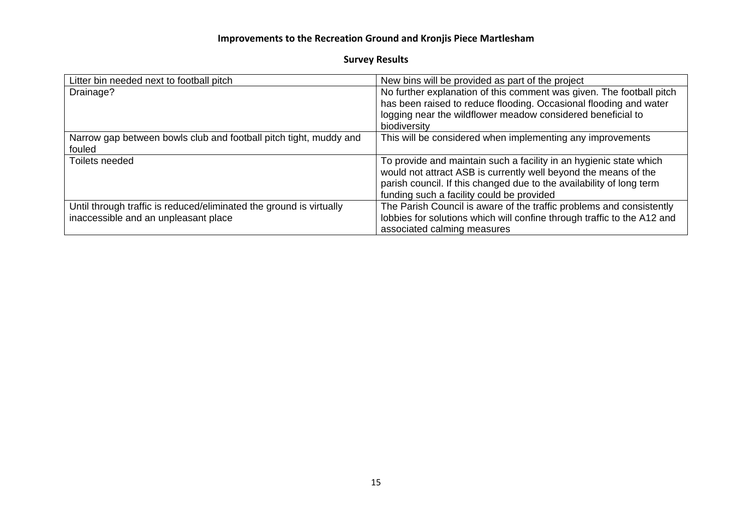| Litter bin needed next to football pitch                            | New bins will be provided as part of the project                        |
|---------------------------------------------------------------------|-------------------------------------------------------------------------|
| Drainage?                                                           | No further explanation of this comment was given. The football pitch    |
|                                                                     | has been raised to reduce flooding. Occasional flooding and water       |
|                                                                     | logging near the wildflower meadow considered beneficial to             |
|                                                                     | biodiversity                                                            |
| Narrow gap between bowls club and football pitch tight, muddy and   | This will be considered when implementing any improvements              |
| fouled                                                              |                                                                         |
| Toilets needed                                                      | To provide and maintain such a facility in an hygienic state which      |
|                                                                     | would not attract ASB is currently well beyond the means of the         |
|                                                                     | parish council. If this changed due to the availability of long term    |
|                                                                     | funding such a facility could be provided                               |
| Until through traffic is reduced/eliminated the ground is virtually | The Parish Council is aware of the traffic problems and consistently    |
| inaccessible and an unpleasant place                                | lobbies for solutions which will confine through traffic to the A12 and |
|                                                                     | associated calming measures                                             |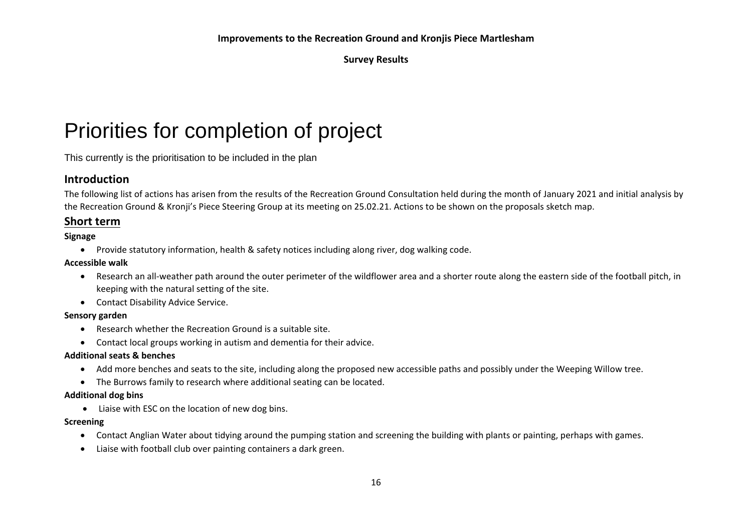# Priorities for completion of project

This currently is the prioritisation to be included in the plan

## **Introduction**

The following list of actions has arisen from the results of the Recreation Ground Consultation held during the month of January 2021 and initial analysis by the Recreation Ground & Kronji's Piece Steering Group at its meeting on 25.02.21. Actions to be shown on the proposals sketch map.

### **Short term**

#### **Signage**

• Provide statutory information, health & safety notices including along river, dog walking code.

#### **Accessible walk**

- Research an all-weather path around the outer perimeter of the wildflower area and a shorter route along the eastern side of the football pitch, in keeping with the natural setting of the site.
- Contact Disability Advice Service.

#### **Sensory garden**

- Research whether the Recreation Ground is a suitable site.
- Contact local groups working in autism and dementia for their advice.

#### **Additional seats & benches**

- Add more benches and seats to the site, including along the proposed new accessible paths and possibly under the Weeping Willow tree.
- The Burrows family to research where additional seating can be located.

#### **Additional dog bins**

• Liaise with ESC on the location of new dog bins.

#### **Screening**

- Contact Anglian Water about tidying around the pumping station and screening the building with plants or painting, perhaps with games.
- Liaise with football club over painting containers a dark green.